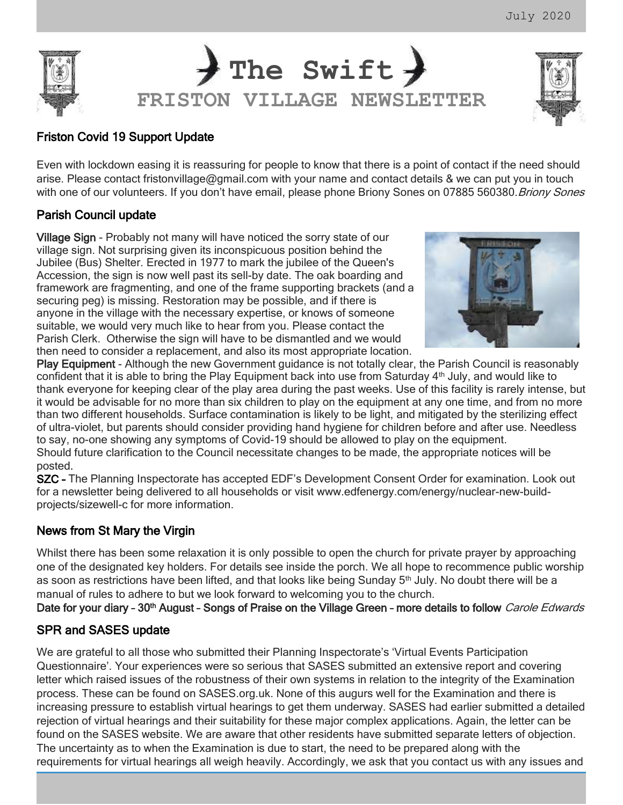

## Friston Covid 19 Support Update

Even with lockdown easing it is reassuring for people to know that there is a point of contact if the need should arise. Please contact [fristonvillage@gmail.com](mailto:fristonvillage@gmail.com) with your name and contact details & we can put you in touch with one of our volunteers. If you don't have email, please phone Briony Sones on 07885 560380. Briony Sones

# Parish Council update

Village Sign - Probably not many will have noticed the sorry state of our village sign. Not surprising given its inconspicuous position behind the Jubilee (Bus) Shelter. Erected in 1977 to mark the jubilee of the Queen's Accession, the sign is now well past its sell-by date. The oak boarding and framework are fragmenting, and one of the frame supporting brackets (and a securing peg) is missing. Restoration may be possible, and if there is anyone in the village with the necessary expertise, or knows of someone suitable, we would very much like to hear from you. Please contact the Parish Clerk. Otherwise the sign will have to be dismantled and we would then need to consider a replacement, and also its most appropriate location.



Play Equipment - Although the new Government guidance is not totally clear, the Parish Council is reasonably confident that it is able to bring the Play Equipment back into use from Saturday  $4<sup>th</sup>$  July, and would like to thank everyone for keeping clear of the play area during the past weeks. Use of this facility is rarely intense, but it would be advisable for no more than six children to play on the equipment at any one time, and from no more than two different households. Surface contamination is likely to be light, and mitigated by the sterilizing effect of ultra-violet, but parents should consider providing hand hygiene for children before and after use. Needless to say, no-one showing any symptoms of Covid-19 should be allowed to play on the equipment.

Should future clarification to the Council necessitate changes to be made, the appropriate notices will be posted.

SZC – The Planning Inspectorate has accepted EDF's Development Consent Order for examination. Look out for a newsletter being delivered to all households or visit [www.edfenergy.com/energy/nuclear-new-build](http://www.edfenergy.com/energy/nuclear-new-build-projects/sizewell-c)[projects/sizewell-c](http://www.edfenergy.com/energy/nuclear-new-build-projects/sizewell-c) for more information.

# News from St Mary the Virgin

Whilst there has been some relaxation it is only possible to open the church for private prayer by approaching one of the designated key holders. For details see inside the porch. We all hope to recommence public worship as soon as restrictions have been lifted, and that looks like being Sunday 5<sup>th</sup> July. No doubt there will be a manual of rules to adhere to but we look forward to welcoming you to the church.

Date for your diary - 30<sup>th</sup> August - Songs of Praise on the Village Green - more details to follow *Carole Edwards* 

### SPR and SASES update

We are grateful to all those who submitted their Planning Inspectorate's 'Virtual Events Participation Questionnaire'. Your experiences were so serious that SASES submitted an extensive report and covering letter which raised issues of the robustness of their own systems in relation to the integrity of the Examination process. These can be found on SASES.org.uk. None of this augurs well for the Examination and there is increasing pressure to establish virtual hearings to get them underway. SASES had earlier submitted a detailed rejection of virtual hearings and their suitability for these major complex applications. Again, the letter can be found on the SASES website. We are aware that other residents have submitted separate letters of objection. The uncertainty as to when the Examination is due to start, the need to be prepared along with the requirements for virtual hearings all weigh heavily. Accordingly, we ask that you contact us with any issues and